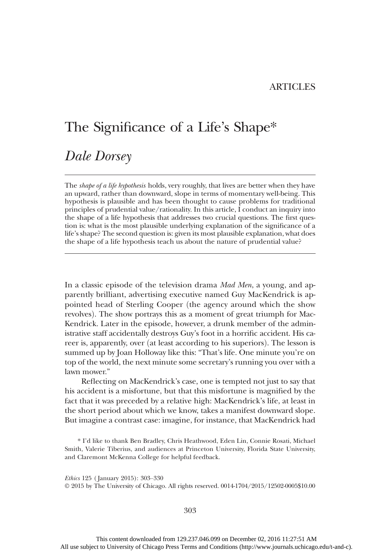# The Significance of a Life's Shape\* Dale Dorsey

The shape of a life hypothesis holds, very roughly, that lives are better when they have an upward, rather than downward, slope in terms of momentary well-being. This hypothesis is plausible and has been thought to cause problems for traditional principles of prudential value/rationality. In this article, I conduct an inquiry into the shape of a life hypothesis that addresses two crucial questions. The first question is: what is the most plausible underlying explanation of the significance of a life's shape? The second question is: given its most plausible explanation, what does the shape of a life hypothesis teach us about the nature of prudential value?

In a classic episode of the television drama Mad Men, a young, and apparently brilliant, advertising executive named Guy MacKendrick is appointed head of Sterling Cooper (the agency around which the show revolves). The show portrays this as a moment of great triumph for Mac-Kendrick. Later in the episode, however, a drunk member of the administrative staff accidentally destroys Guy's foot in a horrific accident. His career is, apparently, over (at least according to his superiors). The lesson is summed up by Joan Holloway like this: "That's life. One minute you're on top of the world, the next minute some secretary's running you over with a lawn mower."

Reflecting on MacKendrick's case, one is tempted not just to say that his accident is a misfortune, but that this misfortune is magnified by the fact that it was preceded by a relative high: MacKendrick's life, at least in the short period about which we know, takes a manifest downward slope. But imagine a contrast case: imagine, for instance, that MacKendrick had

\* I'd like to thank Ben Bradley, Chris Heathwood, Eden Lin, Connie Rosati, Michael Smith, Valerie Tiberius, and audiences at Princeton University, Florida State University, and Claremont McKenna College for helpful feedback.

Ethics 125 ( January 2015): 303–330

© 2015 by The University of Chicago. All rights reserved. 0014-1704/2015/12502-0005\$10.00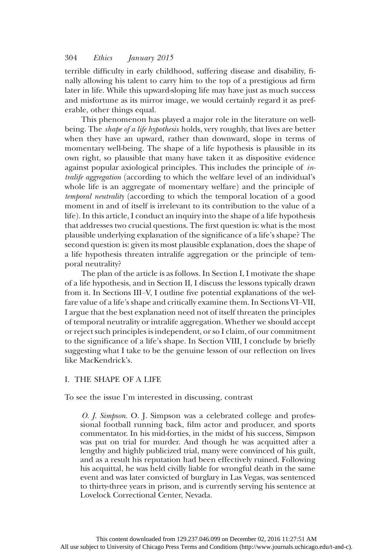terrible difficulty in early childhood, suffering disease and disability, finally allowing his talent to carry him to the top of a prestigious ad firm later in life. While this upward-sloping life may have just as much success and misfortune as its mirror image, we would certainly regard it as preferable, other things equal.

This phenomenon has played a major role in the literature on wellbeing. The *shape of a life hypothesis* holds, very roughly, that lives are better when they have an upward, rather than downward, slope in terms of momentary well-being. The shape of a life hypothesis is plausible in its own right, so plausible that many have taken it as dispositive evidence against popular axiological principles. This includes the principle of intralife aggregation (according to which the welfare level of an individual's whole life is an aggregate of momentary welfare) and the principle of temporal neutrality (according to which the temporal location of a good moment in and of itself is irrelevant to its contribution to the value of a life). In this article, I conduct an inquiry into the shape of a life hypothesis that addresses two crucial questions. The first question is: what is the most plausible underlying explanation of the significance of a life's shape? The second question is: given its most plausible explanation, does the shape of a life hypothesis threaten intralife aggregation or the principle of temporal neutrality?

The plan of the article is as follows. In Section I, I motivate the shape of a life hypothesis, and in Section II, I discuss the lessons typically drawn from it. In Sections III–V, I outline five potential explanations of the welfare value of a life's shape and critically examine them. In Sections VI–VII, I argue that the best explanation need not of itself threaten the principles of temporal neutrality or intralife aggregation. Whether we should accept or reject such principles is independent, or so I claim, of our commitment to the significance of a life's shape. In Section VIII, I conclude by briefly suggesting what I take to be the genuine lesson of our reflection on lives like MacKendrick's.

# I. THE SHAPE OF A LIFE

To see the issue I'm interested in discussing, contrast

O. J. Simpson. O. J. Simpson was a celebrated college and professional football running back, film actor and producer, and sports commentator. In his mid-forties, in the midst of his success, Simpson was put on trial for murder. And though he was acquitted after a lengthy and highly publicized trial, many were convinced of his guilt, and as a result his reputation had been effectively ruined. Following his acquittal, he was held civilly liable for wrongful death in the same event and was later convicted of burglary in Las Vegas, was sentenced to thirty-three years in prison, and is currently serving his sentence at Lovelock Correctional Center, Nevada.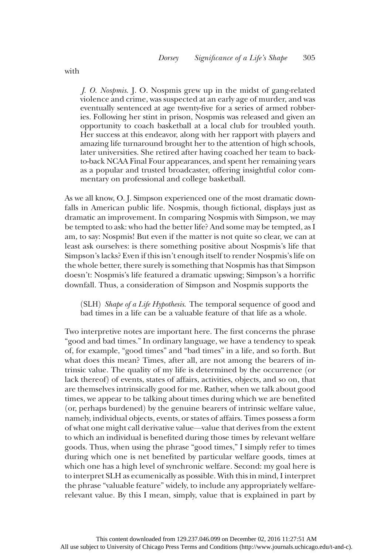with

J. O. Nospmis. J. O. Nospmis grew up in the midst of gang-related violence and crime, was suspected at an early age of murder, and was eventually sentenced at age twenty-five for a series of armed robberies. Following her stint in prison, Nospmis was released and given an opportunity to coach basketball at a local club for troubled youth. Her success at this endeavor, along with her rapport with players and amazing life turnaround brought her to the attention of high schools, later universities. She retired after having coached her team to backto-back NCAA Final Four appearances, and spent her remaining years as a popular and trusted broadcaster, offering insightful color commentary on professional and college basketball.

As we all know, O. J. Simpson experienced one of the most dramatic downfalls in American public life. Nospmis, though fictional, displays just as dramatic an improvement. In comparing Nospmis with Simpson, we may be tempted to ask: who had the better life? And some may be tempted, as I am, to say: Nospmis! But even if the matter is not quite so clear, we can at least ask ourselves: is there something positive about Nospmis's life that Simpson's lacks? Even if this isn't enough itself to render Nospmis's life on the whole better, there surely is something that Nospmis has that Simpson doesn't: Nospmis's life featured a dramatic upswing; Simpson's a horrific downfall. Thus, a consideration of Simpson and Nospmis supports the

 $(SLH)$  *Shape of a Life Hypothesis.* The temporal sequence of good and bad times in a life can be a valuable feature of that life as a whole.

Two interpretive notes are important here. The first concerns the phrase "good and bad times." In ordinary language, we have a tendency to speak of, for example, "good times" and "bad times" in a life, and so forth. But what does this mean? Times, after all, are not among the bearers of intrinsic value. The quality of my life is determined by the occurrence (or lack thereof) of events, states of affairs, activities, objects, and so on, that are themselves intrinsically good for me. Rather, when we talk about good times, we appear to be talking about times during which we are benefited (or, perhaps burdened) by the genuine bearers of intrinsic welfare value, namely, individual objects, events, or states of affairs. Times possess a form of what one might call derivative value—value that derives from the extent to which an individual is benefited during those times by relevant welfare goods. Thus, when using the phrase "good times," I simply refer to times during which one is net benefited by particular welfare goods, times at which one has a high level of synchronic welfare. Second: my goal here is to interpret SLH as ecumenically as possible. With this in mind, I interpret the phrase "valuable feature" widely, to include any appropriately welfarerelevant value. By this I mean, simply, value that is explained in part by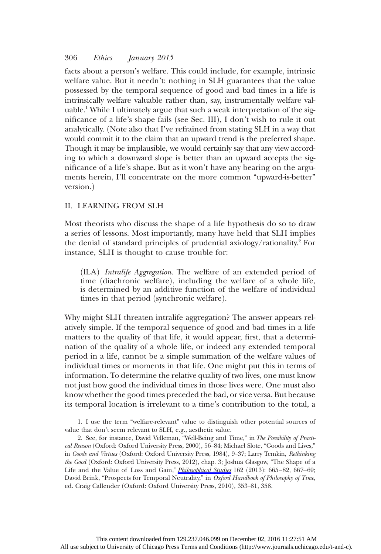facts about a person's welfare. This could include, for example, intrinsic welfare value. But it needn't: nothing in SLH guarantees that the value possessed by the temporal sequence of good and bad times in a life is intrinsically welfare valuable rather than, say, instrumentally welfare valuable.<sup>1</sup> While I ultimately argue that such a weak interpretation of the significance of a life's shape fails (see Sec. III), I don't wish to rule it out analytically. (Note also that I've refrained from stating SLH in a way that would commit it to the claim that an upward trend is the preferred shape. Though it may be implausible, we would certainly say that any view according to which a downward slope is better than an upward accepts the significance of a life's shape. But as it won't have any bearing on the arguments herein, I'll concentrate on the more common "upward-is-better" version.)

# II. LEARNING FROM SLH

Most theorists who discuss the shape of a life hypothesis do so to draw a series of lessons. Most importantly, many have held that SLH implies the denial of standard principles of prudential axiology/rationality.<sup>2</sup> For instance, SLH is thought to cause trouble for:

 $(II, A)$  *Intralife Aggregation*. The welfare of an extended period of time (diachronic welfare), including the welfare of a whole life, is determined by an additive function of the welfare of individual times in that period (synchronic welfare).

Why might SLH threaten intralife aggregation? The answer appears relatively simple. If the temporal sequence of good and bad times in a life matters to the quality of that life, it would appear, first, that a determination of the quality of a whole life, or indeed any extended temporal period in a life, cannot be a simple summation of the welfare values of individual times or moments in that life. One might put this in terms of information. To determine the relative quality of two lives, one must know not just how good the individual times in those lives were. One must also know whether the good times preceded the bad, or vice versa. But because its temporal location is irrelevant to a time's contribution to the total, a

1. I use the term "welfare-relevant" value to distinguish other potential sources of value that don't seem relevant to SLH, e.g., aesthetic value.

2. See, for instance, David Velleman, "Well-Being and Time," in The Possibility of Practical Reason (Oxford: Oxford University Press, 2000), 56–84; Michael Slote, "Goods and Lives," in Goods and Virtues (Oxford: Oxford University Press, 1984), 9-37; Larry Temkin, Rethinking the Good (Oxford: Oxford University Press, 2012), chap. 3; Joshua Glasgow, "The Shape of a Life and the Value of Loss and Gain," *[Philosophical Studies](http://www.journals.uchicago.edu/action/showLinks?crossref=10.1007%2Fs11098-011-9788-0)* 162 (2013): 665–82, 667–69; David Brink, "Prospects for Temporal Neutrality," in Oxford Handbook of Philosophy of Time, ed. Craig Callender (Oxford: Oxford University Press, 2010), 353-81, 358.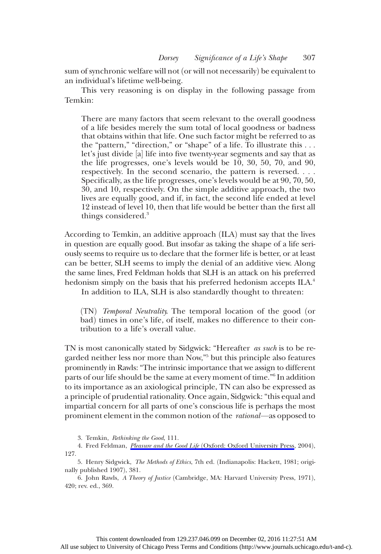sum of synchronic welfare will not (or will not necessarily) be equivalent to an individual's lifetime well-being.

This very reasoning is on display in the following passage from Temkin:

There are many factors that seem relevant to the overall goodness of a life besides merely the sum total of local goodness or badness that obtains within that life. One such factor might be referred to as the "pattern," "direction," or "shape" of a life. To illustrate this ... let's just divide [a] life into five twenty-year segments and say that as the life progresses, one's levels would be 10, 30, 50, 70, and 90, respectively. In the second scenario, the pattern is reversed. ... Specifically, as the life progresses, one's levels would be at 90, 70, 50, 30, and 10, respectively. On the simple additive approach, the two lives are equally good, and if, in fact, the second life ended at level 12 instead of level 10, then that life would be better than the first all things considered.<sup>3</sup>

According to Temkin, an additive approach (ILA) must say that the lives in question are equally good. But insofar as taking the shape of a life seriously seems to require us to declare that the former life is better, or at least can be better, SLH seems to imply the denial of an additive view. Along the same lines, Fred Feldman holds that SLH is an attack on his preferred hedonism simply on the basis that his preferred hedonism accepts ILA.<sup>4</sup>

In addition to ILA, SLH is also standardly thought to threaten:

(TN) *Temporal Neutrality*. The temporal location of the good (or bad) times in one's life, of itself, makes no difference to their contribution to a life's overall value.

TN is most canonically stated by Sidgwick: "Hereafter as such is to be regarded neither less nor more than Now,"5 but this principle also features prominently in Rawls: "The intrinsic importance that we assign to different parts of our life should be the same at every moment of time."6 In addition to its importance as an axiological principle, TN can also be expressed as a principle of prudential rationality. Once again, Sidgwick: "this equal and impartial concern for all parts of one's conscious life is perhaps the most prominent element in the common notion of the rational—as opposed to

3. Temkin, Rethinking the Good, 111.

4. Fred Feldman, *Pleasure and the Good Life* ([Oxford: Oxford University Press](http://www.journals.uchicago.edu/action/showLinks?crossref=10.1093%2F019926516X.001.0001), 2004), 127.

5. Henry Sidgwick, The Methods of Ethics, 7th ed. (Indianapolis: Hackett, 1981; originally published 1907), 381.

6. John Rawls, A Theory of Justice (Cambridge, MA: Harvard University Press, 1971), 420; rev. ed., 369.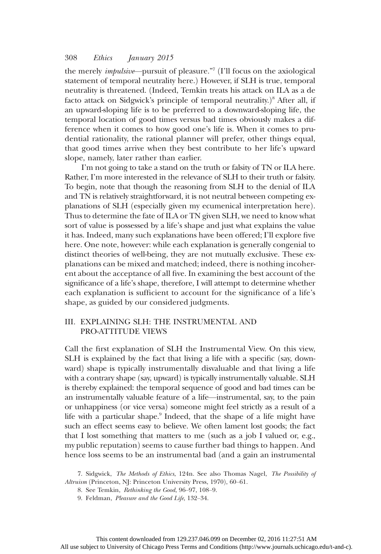the merely *impulsive*—pursuit of pleasure."<sup>7</sup> (I'll focus on the axiological statement of temporal neutrality here.) However, if SLH is true, temporal neutrality is threatened. (Indeed, Temkin treats his attack on ILA as a de facto attack on Sidgwick's principle of temporal neutrality.)<sup>8</sup> After all, if an upward-sloping life is to be preferred to a downward-sloping life, the temporal location of good times versus bad times obviously makes a difference when it comes to how good one's life is. When it comes to prudential rationality, the rational planner will prefer, other things equal, that good times arrive when they best contribute to her life's upward slope, namely, later rather than earlier.

I'm not going to take a stand on the truth or falsity of TN or ILA here. Rather, I'm more interested in the relevance of SLH to their truth or falsity. To begin, note that though the reasoning from SLH to the denial of ILA and TN is relatively straightforward, it is not neutral between competing explanations of SLH (especially given my ecumenical interpretation here). Thus to determine the fate of ILA or TN given SLH, we need to know what sort of value is possessed by a life's shape and just what explains the value it has. Indeed, many such explanations have been offered; I'll explore five here. One note, however: while each explanation is generally congenial to distinct theories of well-being, they are not mutually exclusive. These explanations can be mixed and matched; indeed, there is nothing incoherent about the acceptance of all five. In examining the best account of the significance of a life's shape, therefore, I will attempt to determine whether each explanation is sufficient to account for the significance of a life's shape, as guided by our considered judgments.

# III. EXPLAINING SLH: THE INSTRUMENTAL AND PRO-ATTITUDE VIEWS

Call the first explanation of SLH the Instrumental View. On this view, SLH is explained by the fact that living a life with a specific (say, downward) shape is typically instrumentally disvaluable and that living a life with a contrary shape (say, upward) is typically instrumentally valuable. SLH is thereby explained: the temporal sequence of good and bad times can be an instrumentally valuable feature of a life—instrumental, say, to the pain or unhappiness (or vice versa) someone might feel strictly as a result of a life with a particular shape.<sup>9</sup> Indeed, that the shape of a life might have such an effect seems easy to believe. We often lament lost goods; the fact that I lost something that matters to me (such as a job I valued or, e.g., my public reputation) seems to cause further bad things to happen. And hence loss seems to be an instrumental bad (and a gain an instrumental

<sup>7.</sup> Sidgwick, The Methods of Ethics, 124n. See also Thomas Nagel, The Possibility of Altruism (Princeton, NJ: Princeton University Press, 1970), 60–61.

<sup>8.</sup> See Temkin, Rethinking the Good, 96–97, 108–9.

<sup>9.</sup> Feldman, Pleasure and the Good Life, 132–34.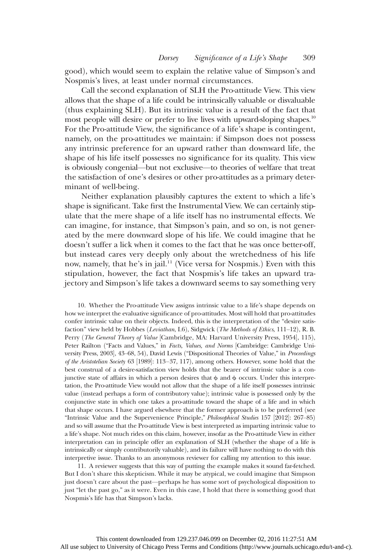good), which would seem to explain the relative value of Simpson's and Nospmis's lives, at least under normal circumstances.

Call the second explanation of SLH the Pro-attitude View. This view allows that the shape of a life could be intrinsically valuable or disvaluable (thus explaining SLH). But its intrinsic value is a result of the fact that most people will desire or prefer to live lives with upward-sloping shapes.<sup>10</sup> For the Pro-attitude View, the significance of a life's shape is contingent, namely, on the pro-attitudes we maintain: if Simpson does not possess any intrinsic preference for an upward rather than downward life, the shape of his life itself possesses no significance for its quality. This view is obviously congenial—but not exclusive—to theories of welfare that treat the satisfaction of one's desires or other pro-attitudes as a primary determinant of well-being.

Neither explanation plausibly captures the extent to which a life's shape is significant. Take first the Instrumental View. We can certainly stipulate that the mere shape of a life itself has no instrumental effects. We can imagine, for instance, that Simpson's pain, and so on, is not generated by the mere downward slope of his life. We could imagine that he doesn't suffer a lick when it comes to the fact that he was once better-off, but instead cares very deeply only about the wretchedness of his life now, namely, that he's in jail.<sup>11</sup> (Vice versa for Nospmis.) Even with this stipulation, however, the fact that Nospmis's life takes an upward trajectory and Simpson's life takes a downward seems to say something very

10. Whether the Pro-attitude View assigns intrinsic value to a life's shape depends on how we interpret the evaluative significance of pro-attitudes. Most will hold that pro-attitudes confer intrinsic value on their objects. Indeed, this is the interpretation of the "desire satisfaction" view held by Hobbes (Leviathan, I.6), Sidgwick (The Methods of Ethics, 111–12), R. B. Perry (*The General Theory of Value* [Cambridge, MA: Harvard University Press, 1954], 115), Peter Railton ("Facts and Values," in Facts, Values, and Norms [Cambridge: Cambridge University Press, 2003], 43–68, 54), David Lewis ("Dispositional Theories of Value," in *Proceedings* of the Aristotelian Society 63 [1989]: 113-37, 117), among others. However, some hold that the best construal of a desire-satisfaction view holds that the bearer of intrinsic value is a conjunctive state of affairs in which a person desires that  $\phi$  and  $\phi$  occurs. Under this interpretation, the Pro-attitude View would not allow that the shape of a life itself possesses intrinsic value (instead perhaps a form of contributory value); intrinsic value is possessed only by the conjunctive state in which one takes a pro-attitude toward the shape of a life and in which that shape occurs. I have argued elsewhere that the former approach is to be preferred (see "Intrinsic Value and the Supervenience Principle," *Philosophical Studies* 157 [2012]: 267–85) and so will assume that the Pro-attitude View is best interpreted as imparting intrinsic value to a life's shape. Not much rides on this claim, however, insofar as the Pro-attitude View in either interpretation can in principle offer an explanation of SLH (whether the shape of a life is intrinsically or simply contributorily valuable), and its failure will have nothing to do with this interpretive issue. Thanks to an anonymous reviewer for calling my attention to this issue.

11. A reviewer suggests that this way of putting the example makes it sound far-fetched. But I don't share this skepticism. While it may be atypical, we could imagine that Simpson just doesn't care about the past—perhaps he has some sort of psychological disposition to just "let the past go," as it were. Even in this case, I hold that there is something good that Nospmis's life has that Simpson's lacks.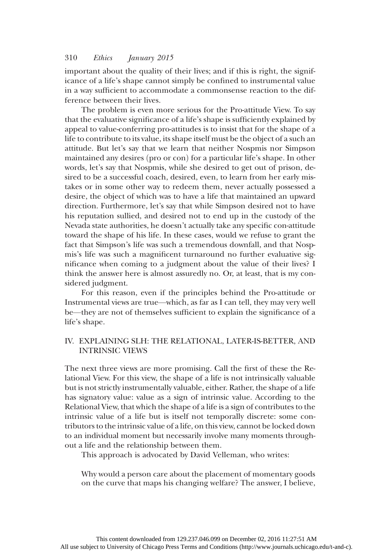important about the quality of their lives; and if this is right, the significance of a life's shape cannot simply be confined to instrumental value in a way sufficient to accommodate a commonsense reaction to the difference between their lives.

The problem is even more serious for the Pro-attitude View. To say that the evaluative significance of a life's shape is sufficiently explained by appeal to value-conferring pro-attitudes is to insist that for the shape of a life to contribute to its value, its shape itself must be the object of a such an attitude. But let's say that we learn that neither Nospmis nor Simpson maintained any desires (pro or con) for a particular life's shape. In other words, let's say that Nospmis, while she desired to get out of prison, desired to be a successful coach, desired, even, to learn from her early mistakes or in some other way to redeem them, never actually possessed a desire, the object of which was to have a life that maintained an upward direction. Furthermore, let's say that while Simpson desired not to have his reputation sullied, and desired not to end up in the custody of the Nevada state authorities, he doesn't actually take any specific con-attitude toward the shape of his life. In these cases, would we refuse to grant the fact that Simpson's life was such a tremendous downfall, and that Nospmis's life was such a magnificent turnaround no further evaluative significance when coming to a judgment about the value of their lives? I think the answer here is almost assuredly no. Or, at least, that is my considered judgment.

For this reason, even if the principles behind the Pro-attitude or Instrumental views are true—which, as far as I can tell, they may very well be—they are not of themselves sufficient to explain the significance of a life's shape.

# IV. EXPLAINING SLH: THE RELATIONAL, LATER-IS-BETTER, AND INTRINSIC VIEWS

The next three views are more promising. Call the first of these the Relational View. For this view, the shape of a life is not intrinsically valuable but is not strictly instrumentally valuable, either. Rather, the shape of a life has signatory value: value as a sign of intrinsic value. According to the Relational View, that which the shape of a life is a sign of contributes to the intrinsic value of a life but is itself not temporally discrete: some contributors to the intrinsic value of a life, on this view, cannot be locked down to an individual moment but necessarily involve many moments throughout a life and the relationship between them.

This approach is advocated by David Velleman, who writes:

Why would a person care about the placement of momentary goods on the curve that maps his changing welfare? The answer, I believe,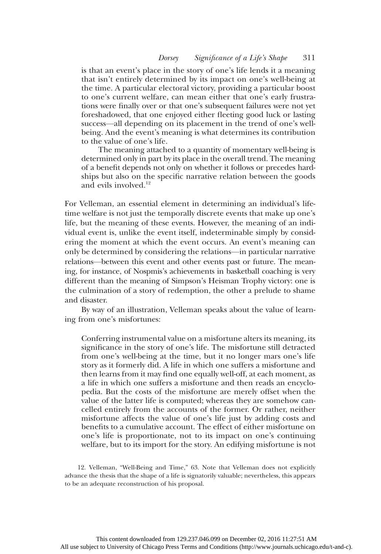is that an event's place in the story of one's life lends it a meaning that isn't entirely determined by its impact on one's well-being at the time. A particular electoral victory, providing a particular boost to one's current welfare, can mean either that one's early frustrations were finally over or that one's subsequent failures were not yet foreshadowed, that one enjoyed either fleeting good luck or lasting success—all depending on its placement in the trend of one's wellbeing. And the event's meaning is what determines its contribution to the value of one's life.

The meaning attached to a quantity of momentary well-being is determined only in part by its place in the overall trend. The meaning of a benefit depends not only on whether it follows or precedes hardships but also on the specific narrative relation between the goods and evils involved. $12$ 

For Velleman, an essential element in determining an individual's lifetime welfare is not just the temporally discrete events that make up one's life, but the meaning of these events. However, the meaning of an individual event is, unlike the event itself, indeterminable simply by considering the moment at which the event occurs. An event's meaning can only be determined by considering the relations—in particular narrative relations—between this event and other events past or future. The meaning, for instance, of Nospmis's achievements in basketball coaching is very different than the meaning of Simpson's Heisman Trophy victory: one is the culmination of a story of redemption, the other a prelude to shame and disaster.

By way of an illustration, Velleman speaks about the value of learning from one's misfortunes:

Conferring instrumental value on a misfortune alters its meaning, its significance in the story of one's life. The misfortune still detracted from one's well-being at the time, but it no longer mars one's life story as it formerly did. A life in which one suffers a misfortune and then learns from it may find one equally well-off, at each moment, as a life in which one suffers a misfortune and then reads an encyclopedia. But the costs of the misfortune are merely offset when the value of the latter life is computed; whereas they are somehow cancelled entirely from the accounts of the former. Or rather, neither misfortune affects the value of one's life just by adding costs and benefits to a cumulative account. The effect of either misfortune on one's life is proportionate, not to its impact on one's continuing welfare, but to its import for the story. An edifying misfortune is not

12. Velleman, "Well-Being and Time," 63. Note that Velleman does not explicitly advance the thesis that the shape of a life is signatorily valuable; nevertheless, this appears to be an adequate reconstruction of his proposal.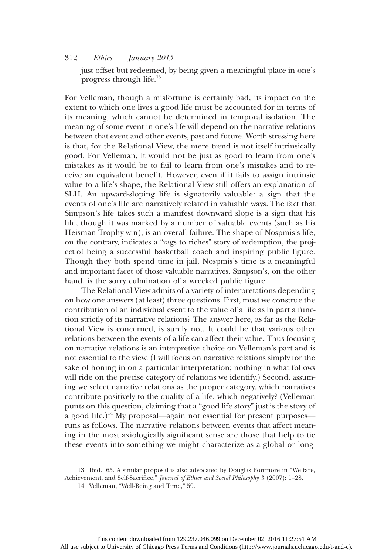just offset but redeemed, by being given a meaningful place in one's progress through life.<sup>13</sup>

For Velleman, though a misfortune is certainly bad, its impact on the extent to which one lives a good life must be accounted for in terms of its meaning, which cannot be determined in temporal isolation. The meaning of some event in one's life will depend on the narrative relations between that event and other events, past and future. Worth stressing here is that, for the Relational View, the mere trend is not itself intrinsically good. For Velleman, it would not be just as good to learn from one's mistakes as it would be to fail to learn from one's mistakes and to receive an equivalent benefit. However, even if it fails to assign intrinsic value to a life's shape, the Relational View still offers an explanation of SLH. An upward-sloping life is signatorily valuable: a sign that the events of one's life are narratively related in valuable ways. The fact that Simpson's life takes such a manifest downward slope is a sign that his life, though it was marked by a number of valuable events (such as his Heisman Trophy win), is an overall failure. The shape of Nospmis's life, on the contrary, indicates a "rags to riches" story of redemption, the project of being a successful basketball coach and inspiring public figure. Though they both spend time in jail, Nospmis's time is a meaningful and important facet of those valuable narratives. Simpson's, on the other hand, is the sorry culmination of a wrecked public figure.

The Relational View admits of a variety of interpretations depending on how one answers (at least) three questions. First, must we construe the contribution of an individual event to the value of a life as in part a function strictly of its narrative relations? The answer here, as far as the Relational View is concerned, is surely not. It could be that various other relations between the events of a life can affect their value. Thus focusing on narrative relations is an interpretive choice on Velleman's part and is not essential to the view. (I will focus on narrative relations simply for the sake of honing in on a particular interpretation; nothing in what follows will ride on the precise category of relations we identify.) Second, assuming we select narrative relations as the proper category, which narratives contribute positively to the quality of a life, which negatively? (Velleman punts on this question, claiming that a "good life story" just is the story of a good life.)<sup>14</sup> My proposal—again not essential for present purposes runs as follows. The narrative relations between events that affect meaning in the most axiologically significant sense are those that help to tie these events into something we might characterize as a global or long-

<sup>13.</sup> Ibid., 65. A similar proposal is also advocated by Douglas Portmore in "Welfare, Achievement, and Self-Sacrifice," Journal of Ethics and Social Philosophy 3 (2007): 1-28.

<sup>14.</sup> Velleman, "Well-Being and Time," 59.

This content downloaded from 129.237.046.099 on December 02, 2016 11:27:51 AM All use subject to University of Chicago Press Terms and Conditions (http://www.journals.uchicago.edu/t-and-c).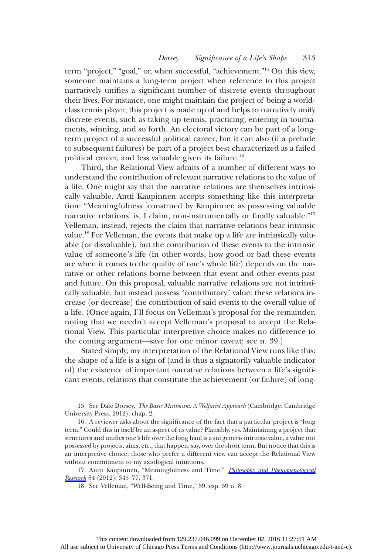term "project," "goal," or, when successful, "achievement."15 On this view, someone maintains a long-term project when reference to this project narratively unifies a significant number of discrete events throughout their lives. For instance, one might maintain the project of being a worldclass tennis player; this project is made up of and helps to narratively unify discrete events, such as taking up tennis, practicing, entering in tournaments, winning, and so forth. An electoral victory can be part of a longterm project of a successful political career; but it can also (if a prelude to subsequent failures) be part of a project best characterized as a failed political career, and less valuable given its failure.<sup>16</sup>

Third, the Relational View admits of a number of different ways to understand the contribution of relevant narrative relations to the value of a life. One might say that the narrative relations are themselves intrinsically valuable. Antti Kaupinnen accepts something like this interpretation: "Meaningfulness [construed by Kaupinnen as possessing valuable narrative relations] is, I claim, non-instrumentally or finally valuable."<sup>17</sup> Velleman, instead, rejects the claim that narrative relations bear intrinsic value.18 For Velleman, the events that make up a life are intrinsically valuable (or disvaluable), but the contribution of these events to the intrinsic value of someone's life (in other words, how good or bad these events are when it comes to the quality of one's whole life) depends on the narrative or other relations borne between that event and other events past and future. On this proposal, valuable narrative relations are not intrinsically valuable, but instead possess "contributory" value: these relations increase (or decrease) the contribution of said events to the overall value of a life. (Once again, I'll focus on Velleman's proposal for the remainder, noting that we needn't accept Velleman's proposal to accept the Relational View. This particular interpretive choice makes no difference to the coming argument—save for one minor caveat; see n. 39.

Stated simply, my interpretation of the Relational View runs like this: the shape of a life is a sign of (and is thus a signatorily valuable indicator of) the existence of important narrative relations between a life's significant events, relations that constitute the achievement (or failure) of long-

15. See Dale Dorsey, The Basic Minimum: A Welfarist Approach (Cambridge: Cambridge University Press, 2012), chap. 2.

16. A reviewer asks about the significance of the fact that a particular project is "long term." Could this in itself be an aspect of its value? Plausibly, yes. Maintaining a project that structures and unifies one's life over the long haul is a sui generis intrinsic value, a value not possessed by projects, aims, etc., that happen, say, over the short term. But notice that this is an interpretive choice; those who prefer a different view can accept the Relational View without commitment to my axiological intuitions.

17. Antti Kaupinnen, "Meaningfulness and Time," [Philosophy and Phenomenological](http://www.journals.uchicago.edu/action/showLinks?crossref=10.1111%2Fj.1933-1592.2010.00490.x) [Research](http://www.journals.uchicago.edu/action/showLinks?crossref=10.1111%2Fj.1933-1592.2010.00490.x) 84 (2012): 345–77, 371.

18. See Velleman, "Well-Being and Time," 59, esp. 59 n. 8.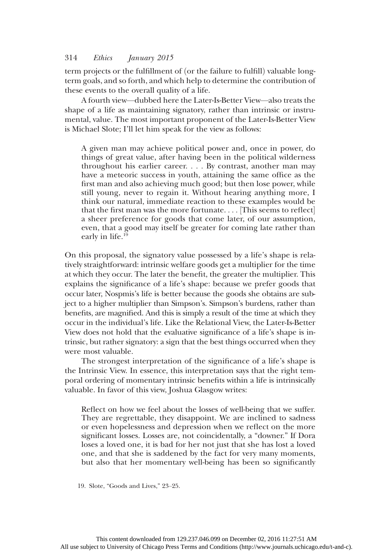term projects or the fulfillment of (or the failure to fulfill) valuable longterm goals, and so forth, and which help to determine the contribution of these events to the overall quality of a life.

A fourth view—dubbed here the Later-Is-Better View—also treats the shape of a life as maintaining signatory, rather than intrinsic or instrumental, value. The most important proponent of the Later-Is-Better View is Michael Slote; I'll let him speak for the view as follows:

A given man may achieve political power and, once in power, do things of great value, after having been in the political wilderness throughout his earlier career. ... By contrast, another man may have a meteoric success in youth, attaining the same office as the first man and also achieving much good; but then lose power, while still young, never to regain it. Without hearing anything more, I think our natural, immediate reaction to these examples would be that the first man was the more fortunate.... [This seems to reflect] a sheer preference for goods that come later, of our assumption, even, that a good may itself be greater for coming late rather than early in life.<sup>1</sup>

On this proposal, the signatory value possessed by a life's shape is relatively straightforward: intrinsic welfare goods get a multiplier for the time at which they occur. The later the benefit, the greater the multiplier. This explains the significance of a life's shape: because we prefer goods that occur later, Nospmis's life is better because the goods she obtains are subject to a higher multiplier than Simpson's. Simpson's burdens, rather than benefits, are magnified. And this is simply a result of the time at which they occur in the individual's life. Like the Relational View, the Later-Is-Better View does not hold that the evaluative significance of a life's shape is intrinsic, but rather signatory: a sign that the best things occurred when they were most valuable.

The strongest interpretation of the significance of a life's shape is the Intrinsic View. In essence, this interpretation says that the right temporal ordering of momentary intrinsic benefits within a life is intrinsically valuable. In favor of this view, Joshua Glasgow writes:

Reflect on how we feel about the losses of well-being that we suffer. They are regrettable, they disappoint. We are inclined to sadness or even hopelessness and depression when we reflect on the more significant losses. Losses are, not coincidentally, a "downer." If Dora loses a loved one, it is bad for her not just that she has lost a loved one, and that she is saddened by the fact for very many moments, but also that her momentary well-being has been so significantly

<sup>19.</sup> Slote, "Goods and Lives," 23–25.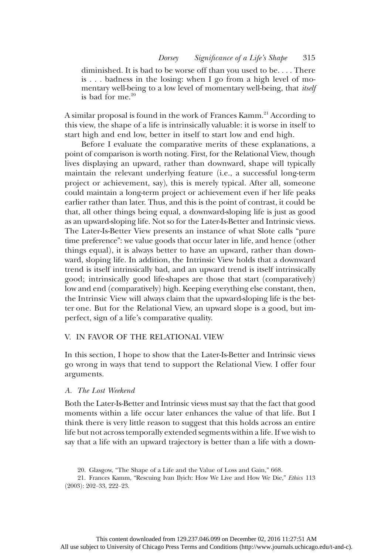diminished. It is bad to be worse off than you used to be. ... There is ... badness in the losing: when I go from a high level of momentary well-being to a low level of momentary well-being, that *itself* is bad for me. $20$ 

A similar proposal is found in the work of Frances Kamm.<sup>21</sup> According to this view, the shape of a life is intrinsically valuable: it is worse in itself to start high and end low, better in itself to start low and end high.

Before I evaluate the comparative merits of these explanations, a point of comparison is worth noting. First, for the Relational View, though lives displaying an upward, rather than downward, shape will typically maintain the relevant underlying feature (i.e., a successful long-term project or achievement, say), this is merely typical. After all, someone could maintain a long-term project or achievement even if her life peaks earlier rather than later. Thus, and this is the point of contrast, it could be that, all other things being equal, a downward-sloping life is just as good as an upward-sloping life. Not so for the Later-Is-Better and Intrinsic views. The Later-Is-Better View presents an instance of what Slote calls "pure time preference": we value goods that occur later in life, and hence (other things equal), it is always better to have an upward, rather than downward, sloping life. In addition, the Intrinsic View holds that a downward trend is itself intrinsically bad, and an upward trend is itself intrinsically good; intrinsically good life-shapes are those that start (comparatively) low and end (comparatively) high. Keeping everything else constant, then, the Intrinsic View will always claim that the upward-sloping life is the better one. But for the Relational View, an upward slope is a good, but imperfect, sign of a life's comparative quality.

#### V. IN FAVOR OF THE RELATIONAL VIEW

In this section, I hope to show that the Later-Is-Better and Intrinsic views go wrong in ways that tend to support the Relational View. I offer four arguments.

#### A. The Lost Weekend

Both the Later-Is-Better and Intrinsic views must say that the fact that good moments within a life occur later enhances the value of that life. But I think there is very little reason to suggest that this holds across an entire life but not across temporally extended segments within a life. If we wish to say that a life with an upward trajectory is better than a life with a down-

<sup>20.</sup> Glasgow, "The Shape of a Life and the Value of Loss and Gain," 668.

<sup>21.</sup> Frances Kamm, "Rescuing Ivan Ilyich: How We Live and How We Die," Ethics 113 ð2003Þ: 202–33, 222–23.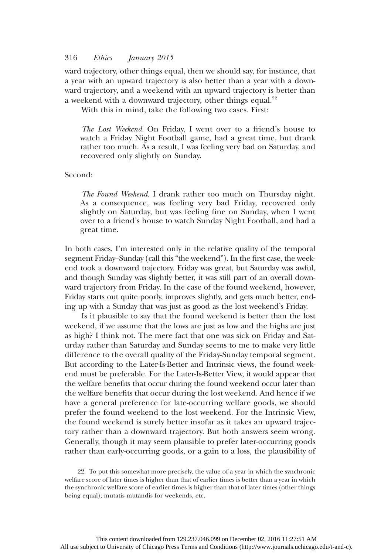ward trajectory, other things equal, then we should say, for instance, that a year with an upward trajectory is also better than a year with a downward trajectory, and a weekend with an upward trajectory is better than a weekend with a downward trajectory, other things equal.<sup>22</sup>

With this in mind, take the following two cases. First:

The Lost Weekend. On Friday, I went over to a friend's house to watch a Friday Night Football game, had a great time, but drank rather too much. As a result, I was feeling very bad on Saturday, and recovered only slightly on Sunday.

# Second:

The Found Weekend. I drank rather too much on Thursday night. As a consequence, was feeling very bad Friday, recovered only slightly on Saturday, but was feeling fine on Sunday, when I went over to a friend's house to watch Sunday Night Football, and had a great time.

In both cases, I'm interested only in the relative quality of the temporal segment Friday–Sunday (call this "the weekend"). In the first case, the weekend took a downward trajectory. Friday was great, but Saturday was awful, and though Sunday was slightly better, it was still part of an overall downward trajectory from Friday. In the case of the found weekend, however, Friday starts out quite poorly, improves slightly, and gets much better, ending up with a Sunday that was just as good as the lost weekend's Friday.

Is it plausible to say that the found weekend is better than the lost weekend, if we assume that the lows are just as low and the highs are just as high? I think not. The mere fact that one was sick on Friday and Saturday rather than Saturday and Sunday seems to me to make very little difference to the overall quality of the Friday-Sunday temporal segment. But according to the Later-Is-Better and Intrinsic views, the found weekend must be preferable. For the Later-Is-Better View, it would appear that the welfare benefits that occur during the found weekend occur later than the welfare benefits that occur during the lost weekend. And hence if we have a general preference for late-occurring welfare goods, we should prefer the found weekend to the lost weekend. For the Intrinsic View, the found weekend is surely better insofar as it takes an upward trajectory rather than a downward trajectory. But both answers seem wrong. Generally, though it may seem plausible to prefer later-occurring goods rather than early-occurring goods, or a gain to a loss, the plausibility of

22. To put this somewhat more precisely, the value of a year in which the synchronic welfare score of later times is higher than that of earlier times is better than a year in which the synchronic welfare score of earlier times is higher than that of later times (other things being equal); mutatis mutandis for weekends, etc.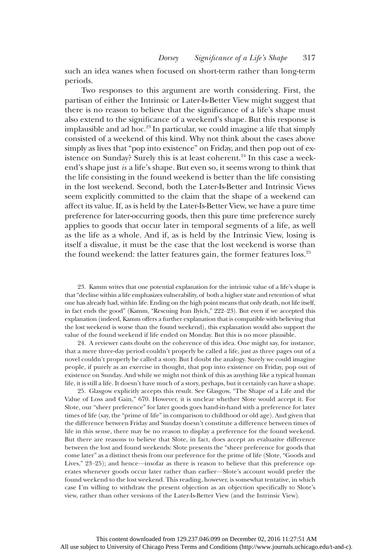such an idea wanes when focused on short-term rather than long-term periods.

Two responses to this argument are worth considering. First, the partisan of either the Intrinsic or Later-Is-Better View might suggest that there is no reason to believe that the significance of a life's shape must also extend to the significance of a weekend's shape. But this response is implausible and ad hoc.<sup>23</sup> In particular, we could imagine a life that simply consisted of a weekend of this kind. Why not think about the cases above simply as lives that "pop into existence" on Friday, and then pop out of existence on Sunday? Surely this is at least coherent.<sup>24</sup> In this case a weekend's shape just is a life's shape. But even so, it seems wrong to think that the life consisting in the found weekend is better than the life consisting in the lost weekend. Second, both the Later-Is-Better and Intrinsic Views seem explicitly committed to the claim that the shape of a weekend can affect its value. If, as is held by the Later-Is-Better View, we have a pure time preference for later-occurring goods, then this pure time preference surely applies to goods that occur later in temporal segments of a life, as well as the life as a whole. And if, as is held by the Intrinsic View, losing is itself a disvalue, it must be the case that the lost weekend is worse than the found weekend: the latter features gain, the former features loss.<sup>25</sup>

23. Kamm writes that one potential explanation for the intrinsic value of a life's shape is that "decline within a life emphasizes vulnerability, of both a higher state and retention of what one has already had, within life. Ending on the high point means that only death, not life itself, in fact ends the good" (Kamm, "Rescuing Ivan Ilyich," 222-23). But even if we accepted this explanation (indeed, Kamm offers a further explanation that is compatible with believing that the lost weekend is worse than the found weekend), this explanation would also support the value of the found weekend if life ended on Monday. But this is no more plausible.

24. A reviewer casts doubt on the coherence of this idea. One might say, for instance, that a mere three-day period couldn't properly be called a life, just as three pages out of a novel couldn't properly be called a story. But I doubt the analogy. Surely we could imagine people, if purely as an exercise in thought, that pop into existence on Friday, pop out of existence on Sunday. And while we might not think of this as anything like a typical human life, it is still a life. It doesn't have much of a story, perhaps, but it certainly can have a shape.

25. Glasgow explicitly accepts this result. See Glasgow, "The Shape of a Life and the Value of Loss and Gain," 670. However, it is unclear whether Slote would accept it. For Slote, our "sheer preference" for later goods goes hand-in-hand with a preference for later times of life (say, the "prime of life" in comparison to childhood or old age). And given that the difference between Friday and Sunday doesn't constitute a difference between times of life in this sense, there may be no reason to display a preference for the found weekend. But there are reasons to believe that Slote, in fact, does accept an evaluative difference between the lost and found weekends: Slote presents the "sheer preference for goods that come later" as a distinct thesis from our preference for the prime of life (Slote, "Goods and Lives," 23–25); and hence—insofar as there is reason to believe that this preference operates whenever goods occur later rather than earlier—Slote's account would prefer the found weekend to the lost weekend. This reading, however, is somewhat tentative, in which case I'm willing to withdraw the present objection as an objection specifically to Slote's view, rather than other versions of the Later-Is-Better View (and the Intrinsic View).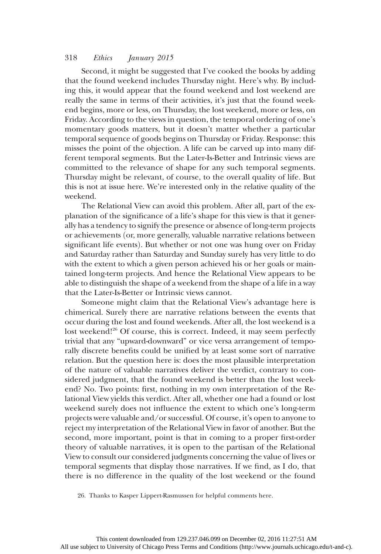Second, it might be suggested that I've cooked the books by adding that the found weekend includes Thursday night. Here's why. By including this, it would appear that the found weekend and lost weekend are really the same in terms of their activities, it's just that the found weekend begins, more or less, on Thursday, the lost weekend, more or less, on Friday. According to the views in question, the temporal ordering of one's momentary goods matters, but it doesn't matter whether a particular temporal sequence of goods begins on Thursday or Friday. Response: this misses the point of the objection. A life can be carved up into many different temporal segments. But the Later-Is-Better and Intrinsic views are committed to the relevance of shape for any such temporal segments. Thursday might be relevant, of course, to the overall quality of life. But this is not at issue here. We're interested only in the relative quality of the weekend.

The Relational View can avoid this problem. After all, part of the explanation of the significance of a life's shape for this view is that it generally has a tendency to signify the presence or absence of long-term projects or achievements (or, more generally, valuable narrative relations between significant life events). But whether or not one was hung over on Friday and Saturday rather than Saturday and Sunday surely has very little to do with the extent to which a given person achieved his or her goals or maintained long-term projects. And hence the Relational View appears to be able to distinguish the shape of a weekend from the shape of a life in a way that the Later-Is-Better or Intrinsic views cannot.

Someone might claim that the Relational View's advantage here is chimerical. Surely there are narrative relations between the events that occur during the lost and found weekends. After all, the lost weekend is a lost weekend!<sup>26</sup> Of course, this is correct. Indeed, it may seem perfectly trivial that any "upward-downward" or vice versa arrangement of temporally discrete benefits could be unified by at least some sort of narrative relation. But the question here is: does the most plausible interpretation of the nature of valuable narratives deliver the verdict, contrary to considered judgment, that the found weekend is better than the lost weekend? No. Two points: first, nothing in my own interpretation of the Relational View yields this verdict. After all, whether one had a found or lost weekend surely does not influence the extent to which one's long-term projects were valuable and/or successful. Of course, it's open to anyone to reject my interpretation of the Relational View in favor of another. But the second, more important, point is that in coming to a proper first-order theory of valuable narratives, it is open to the partisan of the Relational View to consult our considered judgments concerning the value of lives or temporal segments that display those narratives. If we find, as I do, that there is no difference in the quality of the lost weekend or the found

26. Thanks to Kasper Lippert-Rasmussen for helpful comments here.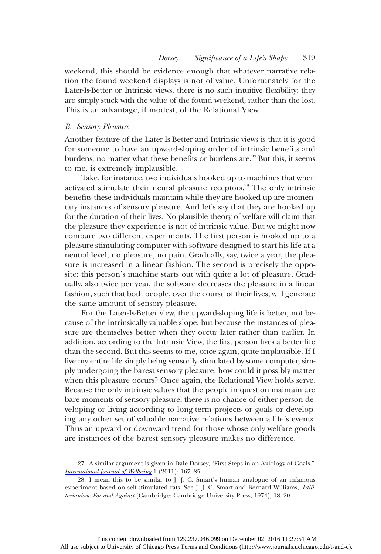weekend, this should be evidence enough that whatever narrative relation the found weekend displays is not of value. Unfortunately for the Later-Is-Better or Intrinsic views, there is no such intuitive flexibility: they are simply stuck with the value of the found weekend, rather than the lost. This is an advantage, if modest, of the Relational View.

#### B. Sensory Pleasure

Another feature of the Later-Is-Better and Intrinsic views is that it is good for someone to have an upward-sloping order of intrinsic benefits and burdens, no matter what these benefits or burdens are. $27$  But this, it seems to me, is extremely implausible.

Take, for instance, two individuals hooked up to machines that when activated stimulate their neural pleasure receptors.<sup>28</sup> The only intrinsic benefits these individuals maintain while they are hooked up are momentary instances of sensory pleasure. And let's say that they are hooked up for the duration of their lives. No plausible theory of welfare will claim that the pleasure they experience is not of intrinsic value. But we might now compare two different experiments. The first person is hooked up to a pleasure-stimulating computer with software designed to start his life at a neutral level; no pleasure, no pain. Gradually, say, twice a year, the pleasure is increased in a linear fashion. The second is precisely the opposite: this person's machine starts out with quite a lot of pleasure. Gradually, also twice per year, the software decreases the pleasure in a linear fashion, such that both people, over the course of their lives, will generate the same amount of sensory pleasure.

For the Later-Is-Better view, the upward-sloping life is better, not because of the intrinsically valuable slope, but because the instances of pleasure are themselves better when they occur later rather than earlier. In addition, according to the Intrinsic View, the first person lives a better life than the second. But this seems to me, once again, quite implausible. If I live my entire life simply being sensorily stimulated by some computer, simply undergoing the barest sensory pleasure, how could it possibly matter when this pleasure occurs? Once again, the Relational View holds serve. Because the only intrinsic values that the people in question maintain are bare moments of sensory pleasure, there is no chance of either person developing or living according to long-term projects or goals or developing any other set of valuable narrative relations between a life's events. Thus an upward or downward trend for those whose only welfare goods are instances of the barest sensory pleasure makes no difference.

<sup>27.</sup> A similar argument is given in Dale Dorsey, "First Steps in an Axiology of Goals," [International Journal of Wellbeing](http://www.journals.uchicago.edu/action/showLinks?crossref=10.5502%2Fijw.v1i1.17) 1 (2011): 167-85.

<sup>28.</sup> I mean this to be similar to J. J. C. Smart's human analogue of an infamous experiment based on self-stimulated rats. See J. J. C. Smart and Bernard Williams, Utilitarianism: For and Against (Cambridge: Cambridge University Press, 1974), 18–20.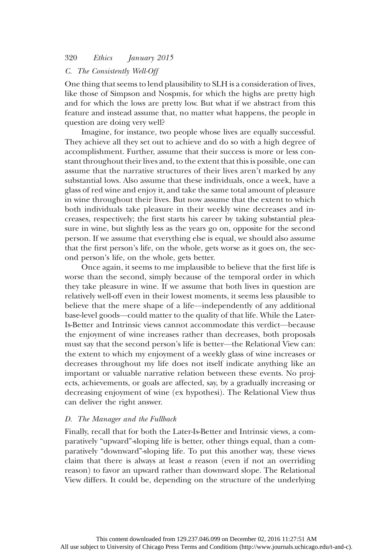# C. The Consistently Well-Off

One thing that seems to lend plausibility to SLH is a consideration of lives, like those of Simpson and Nospmis, for which the highs are pretty high and for which the lows are pretty low. But what if we abstract from this feature and instead assume that, no matter what happens, the people in question are doing very well?

Imagine, for instance, two people whose lives are equally successful. They achieve all they set out to achieve and do so with a high degree of accomplishment. Further, assume that their success is more or less constant throughout their lives and, to the extent that this is possible, one can assume that the narrative structures of their lives aren't marked by any substantial lows. Also assume that these individuals, once a week, have a glass of red wine and enjoy it, and take the same total amount of pleasure in wine throughout their lives. But now assume that the extent to which both individuals take pleasure in their weekly wine decreases and increases, respectively; the first starts his career by taking substantial pleasure in wine, but slightly less as the years go on, opposite for the second person. If we assume that everything else is equal, we should also assume that the first person's life, on the whole, gets worse as it goes on, the second person's life, on the whole, gets better.

Once again, it seems to me implausible to believe that the first life is worse than the second, simply because of the temporal order in which they take pleasure in wine. If we assume that both lives in question are relatively well-off even in their lowest moments, it seems less plausible to believe that the mere shape of a life—independently of any additional base-level goods—could matter to the quality of that life. While the Later-Is-Better and Intrinsic views cannot accommodate this verdict—because the enjoyment of wine increases rather than decreases, both proposals must say that the second person's life is better—the Relational View can: the extent to which my enjoyment of a weekly glass of wine increases or decreases throughout my life does not itself indicate anything like an important or valuable narrative relation between these events. No projects, achievements, or goals are affected, say, by a gradually increasing or decreasing enjoyment of wine (ex hypothesi). The Relational View thus can deliver the right answer.

# D. The Manager and the Fullback

Finally, recall that for both the Later-Is-Better and Intrinsic views, a comparatively "upward"-sloping life is better, other things equal, than a comparatively "downward"-sloping life. To put this another way, these views claim that there is always at least  $a$  reason (even if not an overriding reason) to favor an upward rather than downward slope. The Relational View differs. It could be, depending on the structure of the underlying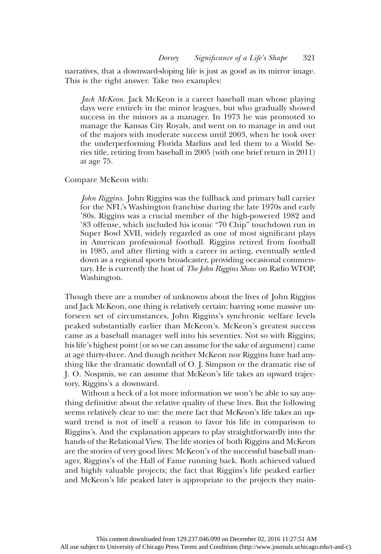narratives, that a downward-sloping life is just as good as its mirror image. This is the right answer. Take two examples:

Jack McKeon. Jack McKeon is a career baseball man whose playing days were entirely in the minor leagues, but who gradually showed success in the minors as a manager. In 1973 he was promoted to manage the Kansas City Royals, and went on to manage in and out of the majors with moderate success until 2003, when he took over the underperforming Florida Marlins and led them to a World Series title, retiring from baseball in 2005 (with one brief return in 2011) at age 75.

#### Compare McKeon with:

John Riggins. John Riggins was the fullback and primary ball carrier for the NFL's Washington franchise during the late 1970s and early '80s. Riggins was a crucial member of the high-powered 1982 and '83 offense, which included his iconic "70 Chip" touchdown run in Super Bowl XVII, widely regarded as one of most significant plays in American professional football. Riggins retired from football in 1985, and after flirting with a career in acting, eventually settled down as a regional sports broadcaster, providing occasional commentary. He is currently the host of *The John Riggins Show* on Radio WTOP, Washington.

Though there are a number of unknowns about the lives of John Riggins and Jack McKeon, one thing is relatively certain: barring some massive unforseen set of circumstances, John Riggins's synchronic welfare levels peaked substantially earlier than McKeon's. McKeon's greatest success came as a baseball manager well into his seventies. Not so with Riggins; his life's highest point (or so we can assume for the sake of argument) came at age thirty-three. And though neither McKeon nor Riggins have had anything like the dramatic downfall of O. J. Simpson or the dramatic rise of J. O. Nospmis, we can assume that McKeon's life takes an upward trajectory, Riggins's a downward.

Without a heck of a lot more information we won't be able to say anything definitive about the relative quality of these lives. But the following seems relatively clear to me: the mere fact that McKeon's life takes an upward trend is not of itself a reason to favor his life in comparison to Riggins's. And the explanation appears to play straightforwardly into the hands of the Relational View. The life stories of both Riggins and McKeon are the stories of very good lives: McKeon's of the successful baseball manager, Riggins's of the Hall of Fame running back. Both achieved valued and highly valuable projects; the fact that Riggins's life peaked earlier and McKeon's life peaked later is appropriate to the projects they main-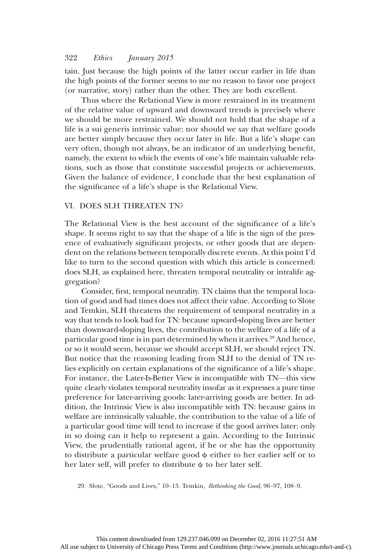tain. Just because the high points of the latter occur earlier in life than the high points of the former seems to me no reason to favor one project (or narrative, story) rather than the other. They are both excellent.

Thus where the Relational View is more restrained in its treatment of the relative value of upward and downward trends is precisely where we should be more restrained. We should not hold that the shape of a life is a sui generis intrinsic value; nor should we say that welfare goods are better simply because they occur later in life. But a life's shape can very often, though not always, be an indicator of an underlying benefit, namely, the extent to which the events of one's life maintain valuable relations, such as those that constitute successful projects or achievements. Given the balance of evidence, I conclude that the best explanation of the significance of a life's shape is the Relational View.

# VI. DOES SLH THREATEN TN?

The Relational View is the best account of the significance of a life's shape. It seems right to say that the shape of a life is the sign of the presence of evaluatively significant projects, or other goods that are dependent on the relations between temporally discrete events. At this point I'd like to turn to the second question with which this article is concerned: does SLH, as explained here, threaten temporal neutrality or intralife aggregation?

Consider, first, temporal neutrality. TN claims that the temporal location of good and bad times does not affect their value. According to Slote and Temkin, SLH threatens the requirement of temporal neutrality in a way that tends to look bad for TN: because upward-sloping lives are better than downward-sloping lives, the contribution to the welfare of a life of a particular good time is in part determined by when it arrives.<sup>29</sup> And hence, or so it would seem, because we should accept SLH, we should reject TN. But notice that the reasoning leading from SLH to the denial of TN relies explicitly on certain explanations of the significance of a life's shape. For instance, the Later-Is-Better View is incompatible with TN—this view quite clearly violates temporal neutrality insofar as it expresses a pure time preference for later-arriving goods: later-arriving goods are better. In addition, the Intrinsic View is also incompatible with TN: because gains in welfare are intrinsically valuable, the contribution to the value of a life of a particular good time will tend to increase if the good arrives later: only in so doing can it help to represent a gain. According to the Intrinsic View, the prudentially rational agent, if he or she has the opportunity to distribute a particular welfare good  $\phi$  either to her earlier self or to her later self, will prefer to distribute  $\phi$  to her later self.

29. Slote, "Goods and Lives," 10–13. Temkin, Rethinking the Good, 96–97, 108–9.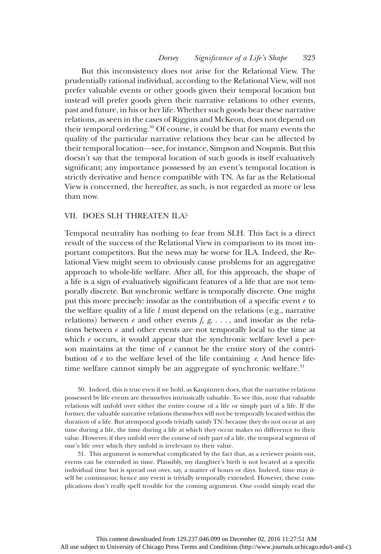But this inconsistency does not arise for the Relational View. The prudentially rational individual, according to the Relational View, will not prefer valuable events or other goods given their temporal location but instead will prefer goods given their narrative relations to other events, past and future, in his or her life. Whether such goods bear these narrative relations, as seen in the cases of Riggins and McKeon, does not depend on their temporal ordering.<sup>30</sup> Of course, it could be that for many events the quality of the particular narrative relations they bear can be affected by their temporal location—see, for instance, Simpson and Nospmis. But this doesn't say that the temporal location of such goods is itself evaluatively significant; any importance possessed by an event's temporal location is strictly derivative and hence compatible with TN. As far as the Relational View is concerned, the hereafter, as such, is not regarded as more or less than now.

# VII. DOES SLH THREATEN ILA?

Temporal neutrality has nothing to fear from SLH. This fact is a direct result of the success of the Relational View in comparison to its most important competitors. But the news may be worse for ILA. Indeed, the Relational View might seem to obviously cause problems for an aggregative approach to whole-life welfare. After all, for this approach, the shape of a life is a sign of evaluatively significant features of a life that are not temporally discrete. But synchronic welfare is temporally discrete. One might put this more precisely: insofar as the contribution of a specific event  $e$  to the welfare quality of a life  $l$  must depend on the relations (e.g., narrative relations) between e and other events f, g, ..., and insofar as the relations between  $e$  and other events are not temporally local to the time at which  $e$  occurs, it would appear that the synchronic welfare level a person maintains at the time of  $e$  cannot be the entire story of the contribution of  $e$  to the welfare level of the life containing  $e$ . And hence lifetime welfare cannot simply be an aggregate of synchronic welfare. $31$ 

30. Indeed, this is true even if we hold, as Kaupinnen does, that the narrative relations possessed by life events are themselves intrinsically valuable. To see this, note that valuable relations will unfold over either the entire course of a life or simply part of a life. If the former, the valuable narrative relations themselves will not be temporally located within the duration of a life. But atemporal goods trivially satisfy TN: because they do not occur at any time during a life, the time during a life at which they occur makes no difference to their value. However, if they unfold over the course of only part of a life, the temporal segment of one's life over which they unfold is irrelevant to their value.

31. This argument is somewhat complicated by the fact that, as a reviewer points out, events can be extended in time. Plausibly, my daughter's birth is not located at a specific individual time but is spread out over, say, a matter of hours or days. Indeed, time may itself be continuous; hence any event is trivially temporally extended. However, these complications don't really spell trouble for the coming argument. One could simply read the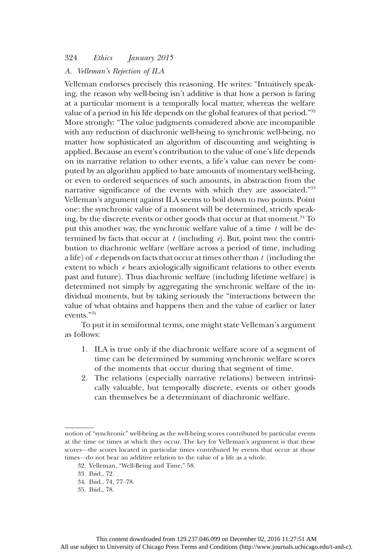#### A. Velleman's Rejection of ILA

Velleman endorses precisely this reasoning. He writes: "Intuitively speaking, the reason why well-being isn't additive is that how a person is faring at a particular moment is a temporally local matter, whereas the welfare value of a period in his life depends on the global features of that period."<sup>32</sup> More strongly: "The value judgments considered above are incompatible with any reduction of diachronic well-being to synchronic well-being, no matter how sophisticated an algorithm of discounting and weighting is applied. Because an event's contribution to the value of one's life depends on its narrative relation to other events, a life's value can never be computed by an algorithm applied to bare amounts of momentary well-being, or even to ordered sequences of such amounts, in abstraction from the narrative significance of the events with which they are associated."33 Velleman's argument against ILA seems to boil down to two points. Point one: the synchronic value of a moment will be determined, strictly speaking, by the discrete events or other goods that occur at that moment.<sup>34</sup> To put this another way, the synchronic welfare value of a time  $t$  will be determined by facts that occur at  $t$  (including  $e$ ). But, point two: the contribution to diachronic welfare (welfare across a period of time, including a life) of e depends on facts that occur at times other than  $t$  (including the extent to which  $e$  bears axiologically significant relations to other events past and future). Thus diachronic welfare (including lifetime welfare) is determined not simply by aggregating the synchronic welfare of the individual moments, but by taking seriously the "interactions between the value of what obtains and happens then and the value of earlier or later events."35

To put it in semiformal terms, one might state Velleman's argument as follows:

- 1. ILA is true only if the diachronic welfare score of a segment of time can be determined by summing synchronic welfare scores of the moments that occur during that segment of time.
- 2. The relations (especially narrative relations) between intrinsically valuable, but temporally discrete, events or other goods can themselves be a determinant of diachronic welfare.

notion of "synchronic" well-being as the well-being scores contributed by particular events at the time or times at which they occur. The key for Velleman's argument is that these scores—the scores located in particular times contributed by events that occur at those times—do not bear an additive relation to the value of a life as a whole.

<sup>32.</sup> Velleman, "Well-Being and Time," 58.

<sup>33.</sup> Ibid., 72.

<sup>34.</sup> Ibid., 74, 77–78.

<sup>35.</sup> Ibid., 78.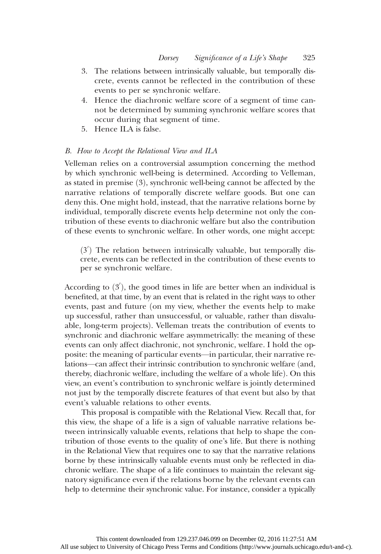- 3. The relations between intrinsically valuable, but temporally discrete, events cannot be reflected in the contribution of these events to per se synchronic welfare.
- 4. Hence the diachronic welfare score of a segment of time cannot be determined by summing synchronic welfare scores that occur during that segment of time.
- 5. Hence ILA is false.

#### B. How to Accept the Relational View and ILA

Velleman relies on a controversial assumption concerning the method by which synchronic well-being is determined. According to Velleman, as stated in premise  $(3)$ , synchronic well-being cannot be affected by the narrative relations of temporally discrete welfare goods. But one can deny this. One might hold, instead, that the narrative relations borne by individual, temporally discrete events help determine not only the contribution of these events to diachronic welfare but also the contribution of these events to synchronic welfare. In other words, one might accept:

 $(3')$  The relation between intrinsically valuable, but temporally discrete, events can be reflected in the contribution of these events to per se synchronic welfare.

According to  $(3')$ , the good times in life are better when an individual is benefited, at that time, by an event that is related in the right ways to other events, past and future (on my view, whether the events help to make up successful, rather than unsuccessful, or valuable, rather than disvaluable, long-term projects). Velleman treats the contribution of events to synchronic and diachronic welfare asymmetrically: the meaning of these events can only affect diachronic, not synchronic, welfare. I hold the opposite: the meaning of particular events—in particular, their narrative relations—can affect their intrinsic contribution to synchronic welfare (and, thereby, diachronic welfare, including the welfare of a whole life). On this view, an event's contribution to synchronic welfare is jointly determined not just by the temporally discrete features of that event but also by that event's valuable relations to other events.

This proposal is compatible with the Relational View. Recall that, for this view, the shape of a life is a sign of valuable narrative relations between intrinsically valuable events, relations that help to shape the contribution of those events to the quality of one's life. But there is nothing in the Relational View that requires one to say that the narrative relations borne by these intrinsically valuable events must only be reflected in diachronic welfare. The shape of a life continues to maintain the relevant signatory significance even if the relations borne by the relevant events can help to determine their synchronic value. For instance, consider a typically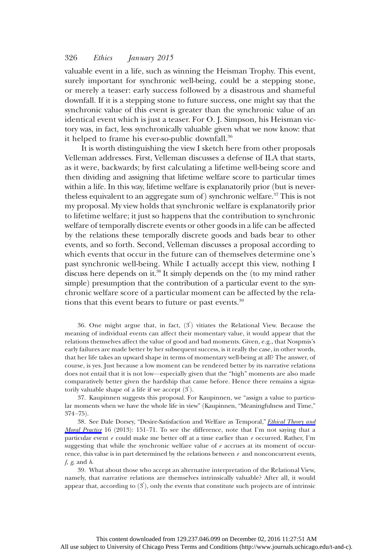valuable event in a life, such as winning the Heisman Trophy. This event, surely important for synchronic well-being, could be a stepping stone, or merely a teaser: early success followed by a disastrous and shameful downfall. If it is a stepping stone to future success, one might say that the synchronic value of this event is greater than the synchronic value of an identical event which is just a teaser. For O. J. Simpson, his Heisman victory was, in fact, less synchronically valuable given what we now know: that it helped to frame his ever-so-public downfall.<sup>36</sup>

It is worth distinguishing the view I sketch here from other proposals Velleman addresses. First, Velleman discusses a defense of ILA that starts, as it were, backwards; by first calculating a lifetime well-being score and then dividing and assigning that lifetime welfare score to particular times within a life. In this way, lifetime welfare is explanatorily prior (but is nevertheless equivalent to an aggregate sum of  $\epsilon$  synchronic welfare.<sup>37</sup> This is not my proposal. My view holds that synchronic welfare is explanatorily prior to lifetime welfare; it just so happens that the contribution to synchronic welfare of temporally discrete events or other goods in a life can be affected by the relations these temporally discrete goods and bads bear to other events, and so forth. Second, Velleman discusses a proposal according to which events that occur in the future can of themselves determine one's past synchronic well-being. While I actually accept this view, nothing I discuss here depends on it.<sup>38</sup> It simply depends on the (to my mind rather simple) presumption that the contribution of a particular event to the synchronic welfare score of a particular moment can be affected by the relations that this event bears to future or past events.<sup>39</sup>

36. One might argue that, in fact,  $(3')$  vitiates the Relational View. Because the meaning of individual events can affect their momentary value, it would appear that the relations themselves affect the value of good and bad moments. Given, e.g., that Nospmis's early failures are made better by her subsequent success, is it really the case, in other words, that her life takes an upward shape in terms of momentary well-being at all? The answer, of course, is yes. Just because a low moment can be rendered better by its narrative relations does not entail that it is not low—especially given that the "high" moments are also made comparatively better given the hardship that came before. Hence there remains a signatorily valuable shape of a life if we accept  $(3')$ .

37. Kaupinnen suggests this proposal. For Kaupinnen, we "assign a value to particular moments when we have the whole life in view" (Kaupinnen, "Meaningfulness and Time,"  $374 - 75$ ).

38. See Dale Dorsey, "Desire-Satisfaction and Welfare as Temporal," *[Ethical Theory and](http://www.journals.uchicago.edu/action/showLinks?crossref=10.1007%2Fs10677-011-9315-6)* [Moral Practice](http://www.journals.uchicago.edu/action/showLinks?crossref=10.1007%2Fs10677-011-9315-6) 16 (2013): 151–71. To see the difference, note that I'm not saying that a particular event  $e$  could make me better off at a time earlier than  $e$  occurred. Rather, I'm suggesting that while the synchronic welfare value of  $e$  accrues at its moment of occurrence, this value is in part determined by the relations between  $e$  and nonconcurrent events,  $f, g$ , and  $h$ .

39. What about those who accept an alternative interpretation of the Relational View, namely, that narrative relations are themselves intrinsically valuable? After all, it would appear that, according to  $(3')$ , only the events that constitute such projects are of intrinsic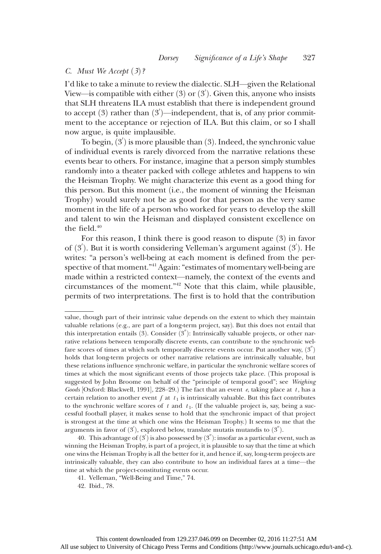# C. Must We Accept  $(3)$ ?

I'd like to take a minute to review the dialectic. SLH—given the Relational View—is compatible with either  $(3)$  or  $(3')$ . Given this, anyone who insists that SLH threatens ILA must establish that there is independent ground to accept  $(3)$  rather than  $(3')$ —independent, that is, of any prior commitment to the acceptance or rejection of ILA. But this claim, or so I shall now argue, is quite implausible.

To begin,  $(3')$  is more plausible than  $(3)$ . Indeed, the synchronic value of individual events is rarely divorced from the narrative relations these events bear to others. For instance, imagine that a person simply stumbles randomly into a theater packed with college athletes and happens to win the Heisman Trophy. We might characterize this event as a good thing for this person. But this moment (i.e., the moment of winning the Heisman Trophy) would surely not be as good for that person as the very same moment in the life of a person who worked for years to develop the skill and talent to win the Heisman and displayed consistent excellence on the field. $40$ 

For this reason, I think there is good reason to dispute  $(3)$  in favor of (3'). But it is worth considering Velleman's argument against (3'). He writes: "a person's well-being at each moment is defined from the perspective of that moment."<sup>41</sup> Again: "estimates of momentary well-being are made within a restricted context—namely, the context of the events and circumstances of the moment."42 Note that this claim, while plausible, permits of two interpretations. The first is to hold that the contribution

value, though part of their intrinsic value depends on the extent to which they maintain valuable relations (e.g., are part of a long-term project, say). But this does not entail that this interpretation entails  $(3)$ . Consider  $(3'')$ : Intrinsically valuable projects, or other narrative relations between temporally discrete events, can contribute to the synchronic welfare scores of times at which such temporally discrete events occur. Put another way,  $(3'')$ holds that long-term projects or other narrative relations are intrinsically valuable, but these relations influence synchronic welfare, in particular the synchronic welfare scores of times at which the most significant events of those projects take place. (This proposal is suggested by John Broome on behalf of the "principle of temporal good"; see Weighing Goods [Oxford: Blackwell, 1991], 228–29.) The fact that an event  $e$ , taking place at  $t$ , has a certain relation to another event  $f$  at  $t_1$  is intrinsically valuable. But this fact contributes to the synchronic welfare scores of t and  $t_1$ . (If the valuable project is, say, being a successful football player, it makes sense to hold that the synchronic impact of that project is strongest at the time at which one wins the Heisman Trophy.) It seems to me that the arguments in favor of  $(3')$ , explored below, translate mutatis mutandis to  $(3'')$ .

<sup>40.</sup> This advantage of  $(3')$  is also possessed by  $(3'')$ : insofar as a particular event, such as winning the Heisman Trophy, is part of a project, it is plausible to say that the time at which one wins the Heisman Trophy is all the better for it, and hence if, say, long-term projects are intrinsically valuable, they can also contribute to how an individual fares at a time—the time at which the project-constituting events occur.

<sup>41.</sup> Velleman, "Well-Being and Time," 74.

<sup>42.</sup> Ibid., 78.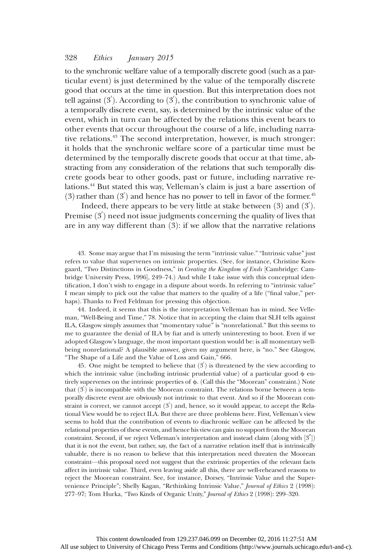to the synchronic welfare value of a temporally discrete good (such as a particular event) is just determined by the value of the temporally discrete good that occurs at the time in question. But this interpretation does not tell against  $(3')$ . According to  $(3')$ , the contribution to synchronic value of a temporally discrete event, say, is determined by the intrinsic value of the event, which in turn can be affected by the relations this event bears to other events that occur throughout the course of a life, including narrative relations.<sup>43</sup> The second interpretation, however, is much stronger: it holds that the synchronic welfare score of a particular time must be determined by the temporally discrete goods that occur at that time, abstracting from any consideration of the relations that such temporally discrete goods bear to other goods, past or future, including narrative relations.44 But stated this way, Velleman's claim is just a bare assertion of (3) rather than (3') and hence has no power to tell in favor of the former.<sup>45</sup>

Indeed, there appears to be very little at stake between  $(3)$  and  $(3')$ . Premise  $(3')$  need not issue judgments concerning the quality of lives that are in any way different than  $(3)$ : if we allow that the narrative relations

43. Some may argue that I'm misusing the term "intrinsic value." "Intrinsic value" just refers to value that supervenes on intrinsic properties. (See, for instance, Christine Korsgaard, "Two Distinctions in Goodness," in Creating the Kingdom of Ends [Cambridge: Cambridge University Press, 1996], 249–74.) And while I take issue with this conceptual identification, I don't wish to engage in a dispute about words. In referring to "intrinsic value" I mean simply to pick out the value that matters to the quality of a life ("final value," perhaps). Thanks to Fred Feldman for pressing this objection.

44. Indeed, it seems that this is the interpretation Velleman has in mind. See Velleman, "Well-Being and Time," 78. Notice that in accepting the claim that SLH tells against ILA, Glasgow simply assumes that "momentary value" is "nonrelational." But this seems to me to guarantee the denial of ILA by fiat and is utterly uninteresting to boot. Even if we adopted Glasgow's language, the most important question would be: is all momentary wellbeing nonrelational? A plausible answer, given my argument here, is "no." See Glasgow, "The Shape of a Life and the Value of Loss and Gain," 666.

45. One might be tempted to believe that  $(3')$  is threatened by the view according to which the intrinsic value (including intrinsic prudential value) of a particular good  $\phi$  entirely supervenes on the intrinsic properties of  $\phi$ . (Call this the "Moorean" constraint.) Note that  $(3')$  is incompatible with the Moorean constraint. The relations borne between a temporally discrete event are obviously not intrinsic to that event. And so if the Moorean constraint is correct, we cannot accept  $(3')$  and, hence, so it would appear, to accept the Relational View would be to reject ILA. But there are three problems here. First, Velleman's view seems to hold that the contribution of events to diachronic welfare can be affected by the relational properties of these events, and hence his view can gain no support from the Moorean constraint. Second, if we reject Velleman's interpretation and instead claim  $(\text{along with } [3''])$ that it is not the event, but rather, say, the fact of a narrative relation itself that is intrinsically valuable, there is no reason to believe that this interpretation need threaten the Moorean constraint—this proposal need not suggest that the extrinsic properties of the relevant facts affect its intrinsic value. Third, even leaving aside all this, there are well-rehearsed reasons to reject the Moorean constraint. See, for instance, Dorsey, "Intrinsic Value and the Supervenience Principle"; Shelly Kagan, "Rethinking Intrinsic Value," *Journal of Ethics* 2 (1998): 277–97; Tom Hurka, "Two Kinds of Organic Unity," Journal of Ethics 2 (1998): 299–320.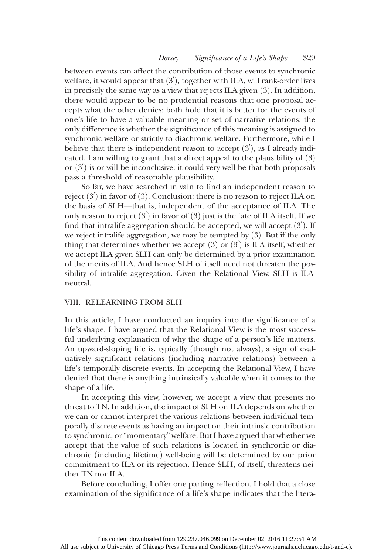between events can affect the contribution of those events to synchronic welfare, it would appear that  $(3')$ , together with ILA, will rank-order lives in precisely the same way as a view that rejects ILA given  $(3)$ . In addition, there would appear to be no prudential reasons that one proposal accepts what the other denies: both hold that it is better for the events of one's life to have a valuable meaning or set of narrative relations; the only difference is whether the significance of this meaning is assigned to synchronic welfare or strictly to diachronic welfare. Furthermore, while I believe that there is independent reason to accept  $(3')$ , as I already indicated, I am willing to grant that a direct appeal to the plausibility of  $(3)$ or  $(3')$  is or will be inconclusive: it could very well be that both proposals pass a threshold of reasonable plausibility.

So far, we have searched in vain to find an independent reason to reject  $(3')$  in favor of  $(3)$ . Conclusion: there is no reason to reject ILA on the basis of SLH—that is, independent of the acceptance of ILA. The only reason to reject  $(3')$  in favor of  $(3)$  just is the fate of ILA itself. If we find that intralife aggregation should be accepted, we will accept  $(3')$ . If we reject intralife aggregation, we may be tempted by  $(3)$ . But if the only thing that determines whether we accept  $(3)$  or  $(3')$  is ILA itself, whether we accept ILA given SLH can only be determined by a prior examination of the merits of ILA. And hence SLH of itself need not threaten the possibility of intralife aggregation. Given the Relational View, SLH is ILAneutral.

# VIII. RELEARNING FROM SLH

In this article, I have conducted an inquiry into the significance of a life's shape. I have argued that the Relational View is the most successful underlying explanation of why the shape of a person's life matters. An upward-sloping life is, typically (though not always), a sign of evaluatively significant relations (including narrative relations) between a life's temporally discrete events. In accepting the Relational View, I have denied that there is anything intrinsically valuable when it comes to the shape of a life.

In accepting this view, however, we accept a view that presents no threat to TN. In addition, the impact of SLH on ILA depends on whether we can or cannot interpret the various relations between individual temporally discrete events as having an impact on their intrinsic contribution to synchronic, or "momentary" welfare. But I have argued that whether we accept that the value of such relations is located in synchronic or diachronic (including lifetime) well-being will be determined by our prior commitment to ILA or its rejection. Hence SLH, of itself, threatens neither TN nor ILA.

Before concluding, I offer one parting reflection. I hold that a close examination of the significance of a life's shape indicates that the litera-